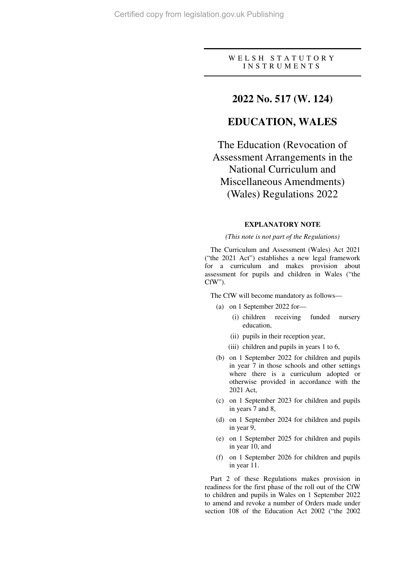## W E L S H S T A T U T O R Y I N S T R U M E N T S

## **2022 No. 517 (W. 124)**

# **EDUCATION, WALES**

The Education (Revocation of Assessment Arrangements in the National Curriculum and Miscellaneous Amendments) (Wales) Regulations 2022

## **EXPLANATORY NOTE**

#### *(This note is not part of the Regulations)*

The Curriculum and Assessment (Wales) Act 2021 ("the 2021 Act") establishes a new legal framework for a curriculum and makes provision about assessment for pupils and children in Wales ("the CfW").

The CfW will become mandatory as follows—

- (a) on 1 September 2022 for—
	- (i) children receiving funded nursery education,
	- (ii) pupils in their reception year,
	- (iii) children and pupils in years 1 to 6,
- (b) on 1 September 2022 for children and pupils in year 7 in those schools and other settings where there is a curriculum adopted or otherwise provided in accordance with the 2021 Act,
- (c) on 1 September 2023 for children and pupils in years 7 and 8,
- (d) on 1 September 2024 for children and pupils in year 9,
- (e) on 1 September 2025 for children and pupils in year 10, and
- (f) on 1 September 2026 for children and pupils in year 11.

Part 2 of these Regulations makes provision in readiness for the first phase of the roll out of the CfW to children and pupils in Wales on 1 September 2022 to amend and revoke a number of Orders made under section 108 of the Education Act 2002 ("the 2002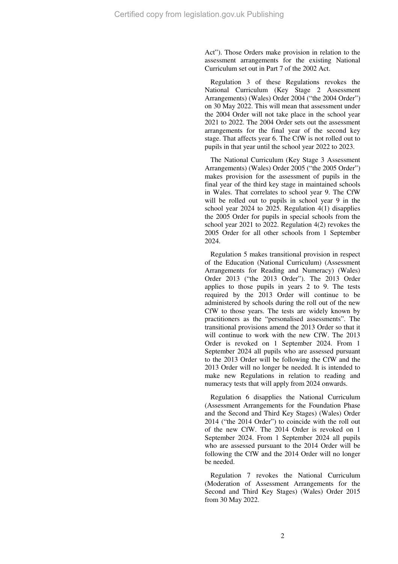Act"). Those Orders make provision in relation to the assessment arrangements for the existing National Curriculum set out in Part 7 of the 2002 Act.

Regulation 3 of these Regulations revokes the National Curriculum (Key Stage 2 Assessment Arrangements) (Wales) Order 2004 ("the 2004 Order") on 30 May 2022. This will mean that assessment under the 2004 Order will not take place in the school year 2021 to 2022. The 2004 Order sets out the assessment arrangements for the final year of the second key stage. That affects year 6. The CfW is not rolled out to pupils in that year until the school year 2022 to 2023.

The National Curriculum (Key Stage 3 Assessment Arrangements) (Wales) Order 2005 ("the 2005 Order") makes provision for the assessment of pupils in the final year of the third key stage in maintained schools in Wales. That correlates to school year 9. The CfW will be rolled out to pupils in school year 9 in the school year 2024 to 2025. Regulation 4(1) disapplies the 2005 Order for pupils in special schools from the school year 2021 to 2022. Regulation 4(2) revokes the 2005 Order for all other schools from 1 September 2024.

Regulation 5 makes transitional provision in respect of the Education (National Curriculum) (Assessment Arrangements for Reading and Numeracy) (Wales) Order 2013 ("the 2013 Order"). The 2013 Order applies to those pupils in years 2 to 9. The tests required by the 2013 Order will continue to be administered by schools during the roll out of the new CfW to those years. The tests are widely known by practitioners as the "personalised assessments". The transitional provisions amend the 2013 Order so that it will continue to work with the new CfW. The 2013 Order is revoked on 1 September 2024. From 1 September 2024 all pupils who are assessed pursuant to the 2013 Order will be following the CfW and the 2013 Order will no longer be needed. It is intended to make new Regulations in relation to reading and numeracy tests that will apply from 2024 onwards.

Regulation 6 disapplies the National Curriculum (Assessment Arrangements for the Foundation Phase and the Second and Third Key Stages) (Wales) Order 2014 ("the 2014 Order") to coincide with the roll out of the new CfW. The 2014 Order is revoked on 1 September 2024. From 1 September 2024 all pupils who are assessed pursuant to the 2014 Order will be following the CfW and the 2014 Order will no longer be needed.

Regulation 7 revokes the National Curriculum (Moderation of Assessment Arrangements for the Second and Third Key Stages) (Wales) Order 2015 from 30 May 2022.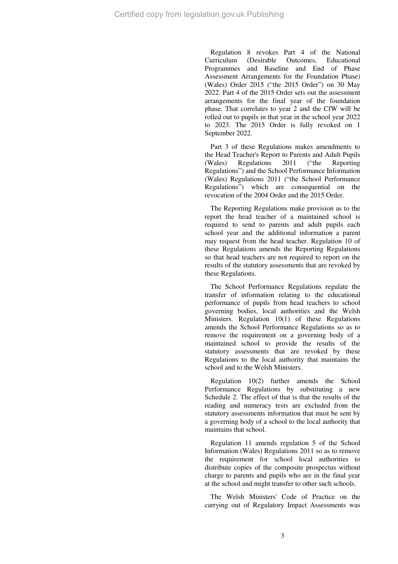Regulation 8 revokes Part 4 of the National Curriculum (Desirable Outcomes, Educational Programmes and Baseline and End of Phase Assessment Arrangements for the Foundation Phase) (Wales) Order 2015 ("the 2015 Order") on 30 May 2022. Part 4 of the 2015 Order sets out the assessment arrangements for the final year of the foundation phase. That correlates to year 2 and the CfW will be rolled out to pupils in that year in the school year 2022 to 2023. The 2015 Order is fully revoked on 1 September 2022.

Part 3 of these Regulations makes amendments to the Head Teacher's Report to Parents and Adult Pupils (Wales) Regulations 2011 ("the Reporting Regulations") and the School Performance Information (Wales) Regulations 2011 ("the School Performance Regulations") which are consequential on the revocation of the 2004 Order and the 2015 Order.

The Reporting Regulations make provision as to the report the head teacher of a maintained school is required to send to parents and adult pupils each school year and the additional information a parent may request from the head teacher. Regulation 10 of these Regulations amends the Reporting Regulations so that head teachers are not required to report on the results of the statutory assessments that are revoked by these Regulations.

The School Performance Regulations regulate the transfer of information relating to the educational performance of pupils from head teachers to school governing bodies, local authorities and the Welsh Ministers. Regulation 10(1) of these Regulations amends the School Performance Regulations so as to remove the requirement on a governing body of a maintained school to provide the results of the statutory assessments that are revoked by these Regulations to the local authority that maintains the school and to the Welsh Ministers.

Regulation 10(2) further amends the School Performance Regulations by substituting a new Schedule 2. The effect of that is that the results of the reading and numeracy tests are excluded from the statutory assessments information that must be sent by a governing body of a school to the local authority that maintains that school.

Regulation 11 amends regulation 5 of the School Information (Wales) Regulations 2011 so as to remove the requirement for school local authorities to distribute copies of the composite prospectus without charge to parents and pupils who are in the final year at the school and might transfer to other such schools.

The Welsh Ministers' Code of Practice on the carrying out of Regulatory Impact Assessments was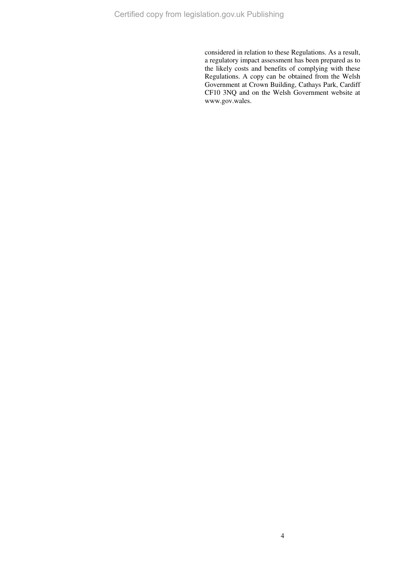considered in relation to these Regulations. As a result, a regulatory impact assessment has been prepared as to the likely costs and benefits of complying with these Regulations. A copy can be obtained from the Welsh Government at Crown Building, Cathays Park, Cardiff CF10 3NQ and on the Welsh Government website at www.gov.wales.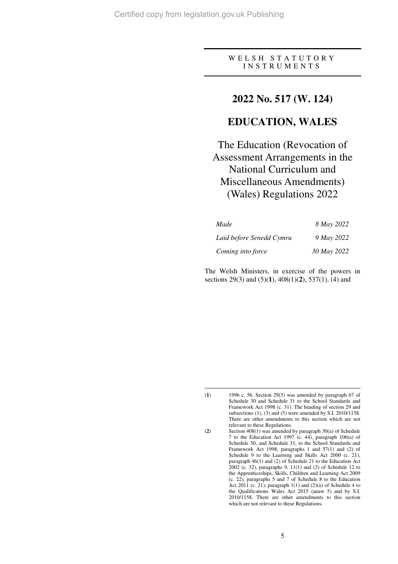## W E L S H S T A T U T O R Y I N S T R U M E N T S

## **2022 No. 517 (W. 124)**

# **EDUCATION, WALES**

# The Education (Revocation of Assessment Arrangements in the National Curriculum and Miscellaneous Amendments) (Wales) Regulations 2022

| Made                     | 8 May 2022  |
|--------------------------|-------------|
| Laid before Senedd Cymru | 9 May 2022  |
| Coming into force        | 30 May 2022 |

The Welsh Ministers, in exercise of the powers in sections 29(3) and (5)(**1**), 408(1)(**2**), 537(1), (4) and

<sup>(</sup>**1**) 1996 c. 56. Section 29(3) was amended by paragraph 67 of Schedule 30 and Schedule 31 to the School Standards and Framework Act 1998 (c. 31). The heading of section 29 and subsections (1), (3) and (5) were amended by S.I. 2010/1158. There are other amendments to this section which are not relevant to these Regulations.

<sup>(</sup>**2**) Section 408(1) was amended by paragraph 30(a) of Schedule 7 to the Education Act 1997 (c. 44), paragraph 106(a) of Schedule 30, and Schedule 31, to the School Standards and Framework Act 1998, paragraphs 1 and 57(1) and (2) of Schedule 9 to the Learning and Skills Act 2000 (c. 21), paragraph 46(1) and (2) of Schedule 21 to the Education Act 2002 (c. 32), paragraphs 9, 11(1) and (2) of Schedule 12 to the Apprenticeships, Skills, Children and Learning Act 2009 (c. 22), paragraphs 5 and 7 of Schedule 8 to the Education Act  $2011$  (c. 21), paragraph  $1(1)$  and  $(2)(a)$  of Schedule 4 to the Qualifications Wales Act 2015 (anaw 5) and by S.I. 2010/1158. There are other amendments to this section which are not relevant to these Regulations.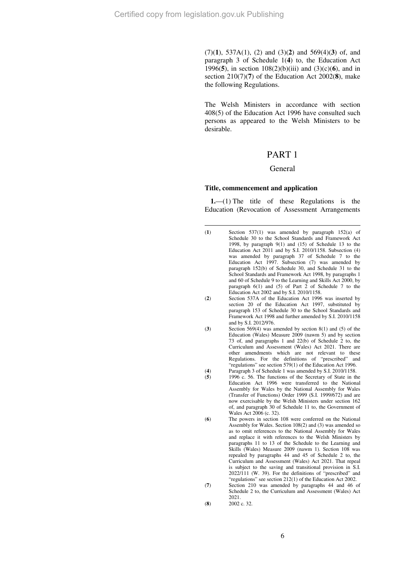$\overline{a}$ 

(7)(**1**), 537A(1), (2) and (3)(**2**) and 569(4)(**3**) of, and paragraph 3 of Schedule 1(**4**) to, the Education Act 1996(**5**), in section 108(2)(b)(iii) and (3)(c)(**6**), and in section 210(7)(**7**) of the Education Act 2002(**8**), make the following Regulations.

The Welsh Ministers in accordance with section 408(5) of the Education Act 1996 have consulted such persons as appeared to the Welsh Ministers to be desirable.

## PART 1

#### General

#### **Title, commencement and application**

**1.**—(1) The title of these Regulations is the Education (Revocation of Assessment Arrangements

- (**3**) Section 569(4) was amended by section 8(1) and (5) of the Education (Wales) Measure 2009 (nawm 5) and by section 73 of, and paragraphs 1 and 22(b) of Schedule 2 to, the Curriculum and Assessment (Wales) Act 2021. There are other amendments which are not relevant to these Regulations. For the definitions of "prescribed" and "regulations" see section 579(1) of the Education Act 1996. (**4**) Paragraph 3 of Schedule 1 was amended by S.I. 2010/1158.
- (**5**) 1996 c. 56. The functions of the Secretary of State in the Education Act 1996 were transferred to the National Assembly for Wales by the National Assembly for Wales (Transfer of Functions) Order 1999 (S.I. 1999/672) and are now exercisable by the Welsh Ministers under section 162 of, and paragraph 30 of Schedule 11 to, the Government of Wales Act 2006 (c. 32).
- (**6**) The powers in section 108 were conferred on the National Assembly for Wales. Section 108(2) and (3) was amended so as to omit references to the National Assembly for Wales and replace it with references to the Welsh Ministers by paragraphs 11 to 13 of the Schedule to the Learning and Skills (Wales) Measure 2009 (nawm 1). Section 108 was repealed by paragraphs 44 and 45 of Schedule 2 to, the Curriculum and Assessment (Wales) Act 2021. That repeal is subject to the saving and transitional provision in S.I. 2022/111 (W. 39). For the definitions of "prescribed" and "regulations" see section 212(1) of the Education Act 2002.
- (**7**) Section 210 was amended by paragraphs 44 and 46 of Schedule 2 to, the Curriculum and Assessment (Wales) Act  $2021$
- (**8**) 2002 c. 32.

<sup>(</sup>**1**) Section 537(1) was amended by paragraph 152(a) of Schedule 30 to the School Standards and Framework Act 1998, by paragraph 9(1) and (15) of Schedule 13 to the Education Act 2011 and by S.I. 2010/1158. Subsection (4) was amended by paragraph 37 of Schedule 7 to the Education Act 1997. Subsection (7) was amended by paragraph 152(b) of Schedule 30, and Schedule 31 to the School Standards and Framework Act 1998, by paragraphs 1 and 60 of Schedule 9 to the Learning and Skills Act 2000, by paragraph 6(1) and (5) of Part 2 of Schedule 7 to the Education Act 2002 and by S.I. 2010/1158.

<sup>(</sup>**2**) Section 537A of the Education Act 1996 was inserted by section 20 of the Education Act 1997, substituted by paragraph 153 of Schedule 30 to the School Standards and Framework Act 1998 and further amended by S.I. 2010/1158 and by S.I. 2012/976.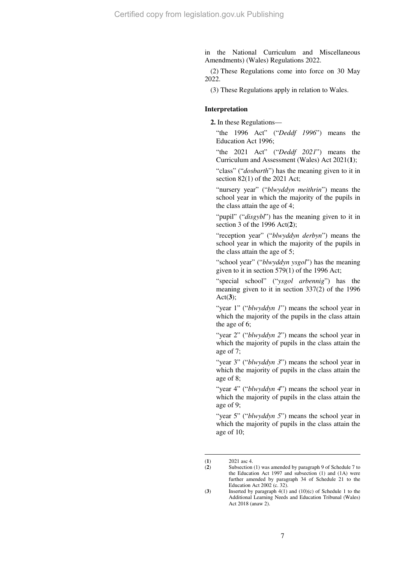in the National Curriculum and Miscellaneous Amendments) (Wales) Regulations 2022.

(2) These Regulations come into force on 30 May 2022.

(3) These Regulations apply in relation to Wales.

## **Interpretation**

**2.** In these Regulations—

"the 1996 Act" ("*Deddf 1996*") means the Education Act 1996;

"the 2021 Act" ("*Deddf 2021*") means the Curriculum and Assessment (Wales) Act 2021(**1**);

"class" ("*dosbarth*") has the meaning given to it in section 82(1) of the 2021 Act;

"nursery year" ("*blwyddyn meithrin*") means the school year in which the majority of the pupils in the class attain the age of 4;

"pupil" ("*disgybl*") has the meaning given to it in section 3 of the 1996 Act(**2**);

"reception year" ("*blwyddyn derbyn*") means the school year in which the majority of the pupils in the class attain the age of 5;

"school year" ("*blwyddyn ysgol*") has the meaning given to it in section 579(1) of the 1996 Act;

"special school" ("*ysgol arbennig*") has the meaning given to it in section 337(2) of the 1996 Act(**3**);

"year 1" ("*blwyddyn 1*") means the school year in which the majority of the pupils in the class attain the age of 6;

"year 2" ("*blwyddyn 2*") means the school year in which the majority of pupils in the class attain the age of 7;

"year 3" ("*blwyddyn 3*") means the school year in which the majority of pupils in the class attain the age of 8;

"year 4" ("*blwyddyn 4*") means the school year in which the majority of pupils in the class attain the age of 9;

"year 5" ("*blwyddyn 5*") means the school year in which the majority of pupils in the class attain the age of 10;

 $\overline{a}$  $(1)$  2021 asc 4

<sup>(</sup>**2**) Subsection (1) was amended by paragraph 9 of Schedule 7 to the Education Act 1997 and subsection (1) and (1A) were further amended by paragraph 34 of Schedule 21 to the Education Act 2002 (c. 32).

<sup>(</sup>**3**) Inserted by paragraph 4(1) and (10)(c) of Schedule 1 to the Additional Learning Needs and Education Tribunal (Wales) Act 2018 (anaw 2).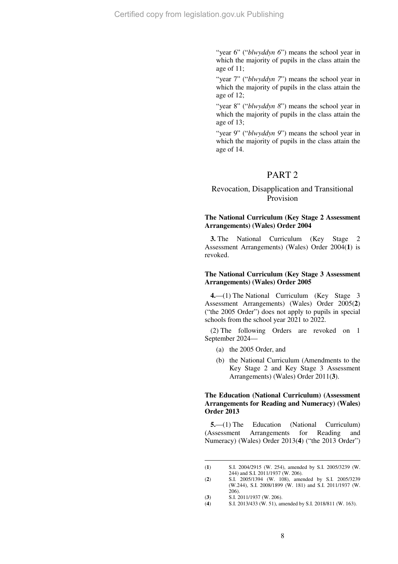"year 6" ("*blwyddyn 6*") means the school year in which the majority of pupils in the class attain the age of 11;

"year 7" ("*blwyddyn 7*") means the school year in which the majority of pupils in the class attain the age of 12;

"year 8" ("*blwyddyn 8*") means the school year in which the majority of pupils in the class attain the age of 13;

"year 9" ("blwyddyn 9") means the school year in which the majority of pupils in the class attain the age of 14.

## PART 2

## Revocation, Disapplication and Transitional Provision

## **The National Curriculum (Key Stage 2 Assessment Arrangements) (Wales) Order 2004**

**3.** The National Curriculum (Key Stage 2 Assessment Arrangements) (Wales) Order 2004(**1**) is revoked.

#### **The National Curriculum (Key Stage 3 Assessment Arrangements) (Wales) Order 2005**

**4.**—(1) The National Curriculum (Key Stage 3 Assessment Arrangements) (Wales) Order 2005(**2**) ("the 2005 Order") does not apply to pupils in special schools from the school year 2021 to 2022.

(2) The following Orders are revoked on 1 September 2024—

- (a) the 2005 Order, and
- (b) the National Curriculum (Amendments to the Key Stage 2 and Key Stage 3 Assessment Arrangements) (Wales) Order 2011(**3**).

## **The Education (National Curriculum) (Assessment Arrangements for Reading and Numeracy) (Wales) Order 2013**

**5.**—(1) The Education (National Curriculum) (Assessment Arrangements for Reading and Numeracy) (Wales) Order 2013(**4**) ("the 2013 Order")

 $\overline{a}$ (**1**) S.I. 2004/2915 (W. 254), amended by S.I. 2005/3239 (W. 244) and S.I. 2011/1937 (W. 206).

<sup>(</sup>**2**) S.I. 2005/1394 (W. 108), amended by S.I. 2005/3239 (W.244), S.I. 2008/1899 (W. 181) and S.I. 2011/1937 (W. 206).

<sup>(</sup>**3**) S.I. 2011/1937 (W. 206).<br>(**4**) S.I. 2013/433 (W. 51), an

<sup>(</sup>**4**) S.I. 2013/433 (W. 51), amended by S.I. 2018/811 (W. 163).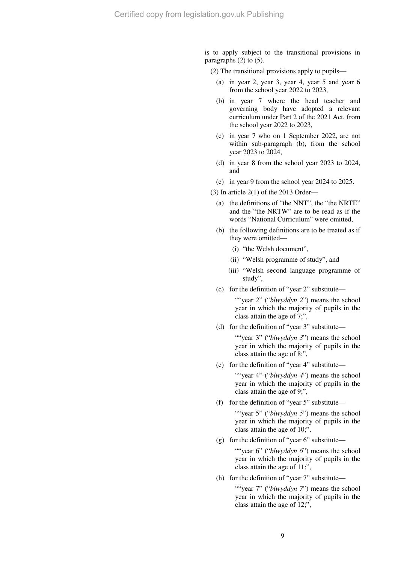is to apply subject to the transitional provisions in paragraphs (2) to (5).

(2) The transitional provisions apply to pupils—

- (a) in year 2, year 3, year 4, year 5 and year 6 from the school year 2022 to 2023,
- (b) in year 7 where the head teacher and governing body have adopted a relevant curriculum under Part 2 of the 2021 Act, from the school year 2022 to 2023,
- (c) in year 7 who on 1 September 2022, are not within sub-paragraph (b), from the school year 2023 to 2024,
- (d) in year 8 from the school year 2023 to 2024, and
- (e) in year 9 from the school year 2024 to 2025.
- (3) In article 2(1) of the 2013 Order—
	- (a) the definitions of "the NNT", the "the NRTE" and the "the NRTW" are to be read as if the words "National Curriculum" were omitted,
	- (b) the following definitions are to be treated as if they were omitted—
		- (i) "the Welsh document",
		- (ii) "Welsh programme of study", and
		- (iii) "Welsh second language programme of study",
	- (c) for the definition of "year 2" substitute—

""year 2" ("*blwyddyn 2*") means the school year in which the majority of pupils in the class attain the age of 7;",

(d) for the definition of "year 3" substitute—

""year 3" ("*blwyddyn 3*") means the school year in which the majority of pupils in the class attain the age of 8;",

(e) for the definition of "year 4" substitute—

""year 4" ("*blwyddyn 4*") means the school year in which the majority of pupils in the class attain the age of 9;",

(f) for the definition of "year 5" substitute—

""year 5" ("*blwyddyn 5*") means the school year in which the majority of pupils in the class attain the age of 10;",

(g) for the definition of "year  $6$ " substitute—

""year 6" ("*blwyddyn 6*") means the school year in which the majority of pupils in the class attain the age of 11;",

(h) for the definition of "year 7" substitute—

""year 7" ("blwyddyn 7") means the school year in which the majority of pupils in the class attain the age of 12;",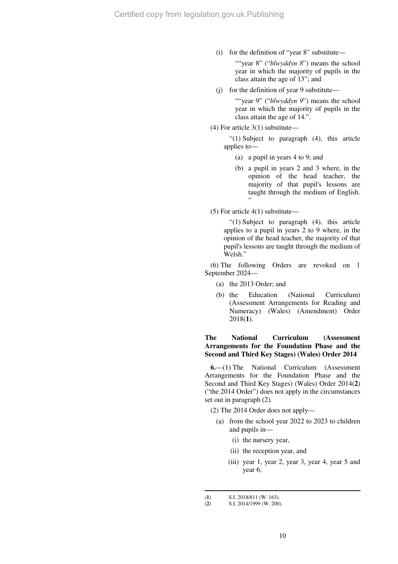(i) for the definition of "year 8" substitute—

""year 8" ("*blwyddyn 8*") means the school year in which the majority of pupils in the class attain the age of 13"; and

(j) for the definition of year 9 substitute—

""year 9" ("*blwyddyn 9*") means the school year in which the majority of pupils in the class attain the age of 14.".

(4) For article 3(1) substitute—

"(1) Subject to paragraph (4), this article applies to—

- (a) a pupil in years 4 to 9; and
- (b) a pupil in years 2 and 3 where, in the opinion of the head teacher, the majority of that pupil's lessons are taught through the medium of English. "
- (5) For article 4(1) substitute—

"(1) Subject to paragraph (4), this article applies to a pupil in years 2 to 9 where, in the opinion of the head teacher, the majority of that pupil's lessons are taught through the medium of Welsh"

(6) The following Orders are revoked on 1 September 2024—

- (a) the 2013 Order; and
- (b) the Education (National Curriculum) (Assessment Arrangements for Reading and Numeracy) (Wales) (Amendment) Order 2018(**1**).

## **The National Curriculum (Assessment Arrangements for the Foundation Phase and the Second and Third Key Stages) (Wales) Order 2014**

**6.**—(1) The National Curriculum (Assessment Arrangements for the Foundation Phase and the Second and Third Key Stages) (Wales) Order 2014(**2**) ("the 2014 Order") does not apply in the circumstances set out in paragraph (2).

- (2) The 2014 Order does not apply—
	- (a) from the school year 2022 to 2023 to children and pupils in—
		- (i) the nursery year,
		- (ii) the reception year, and
		- (iii) year 1, year 2, year 3, year 4, year 5 and year 6,

<sup>(</sup>**1**) S.I. 2018/811 (**W**. 163).<br>(**2**) S.I. 2014/1999 (**W**. 200)

<sup>(</sup>**2**) S.I. 2014/1999 (W. 200).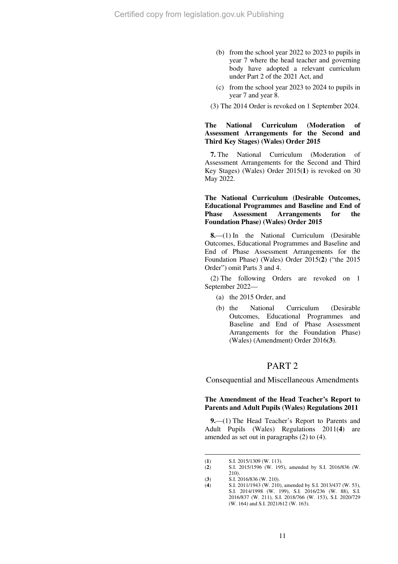- (b) from the school year 2022 to 2023 to pupils in year 7 where the head teacher and governing body have adopted a relevant curriculum under Part 2 of the 2021 Act, and
- (c) from the school year 2023 to 2024 to pupils in year 7 and year 8.
- (3) The 2014 Order is revoked on 1 September 2024.

### **The National Curriculum (Moderation of Assessment Arrangements for the Second and Third Key Stages) (Wales) Order 2015**

**7.** The National Curriculum (Moderation of Assessment Arrangements for the Second and Third Key Stages) (Wales) Order 2015(**1**) is revoked on 30 May 2022.

## **The National Curriculum (Desirable Outcomes, Educational Programmes and Baseline and End of Phase Assessment Arrangements for the Foundation Phase) (Wales) Order 2015**

**8.**—(1) In the National Curriculum (Desirable Outcomes, Educational Programmes and Baseline and End of Phase Assessment Arrangements for the Foundation Phase) (Wales) Order 2015(**2**) ("the 2015 Order") omit Parts 3 and 4.

(2) The following Orders are revoked on 1 September 2022—

- (a) the 2015 Order, and
- (b) the National Curriculum (Desirable Outcomes, Educational Programmes and Baseline and End of Phase Assessment Arrangements for the Foundation Phase) (Wales) (Amendment) Order 2016(**3**).

## PART 2

Consequential and Miscellaneous Amendments

### **The Amendment of the Head Teacher's Report to Parents and Adult Pupils (Wales) Regulations 2011**

**9.**—(1) The Head Teacher's Report to Parents and Adult Pupils (Wales) Regulations 2011(**4**) are amended as set out in paragraphs (2) to (4).

 $\overline{a}$ (**1**) S.I. 2015/1309 (W. 113).

<sup>(</sup>**2**) S.I. 2015/1596 (W. 195), amended by S.I. 2016/836 (W. 210).

<sup>(</sup>**3**) S.I. 2016/836 (W. 210).<br>(**4**) S.I. 2011/1943 (W. 210)

<sup>(</sup>**4**) S.I. 2011/1943 (W. 210), amended by S.I. 2013/437 (W. 53), S.I. 2014/1998 (W. 199), S.I. 2016/236 (W. 88), S.I. 2016/837 (W. 211), S.I. 2018/766 (W. 153), S.I. 2020/729 (W. 164) and S.I. 2021/612 (W. 163).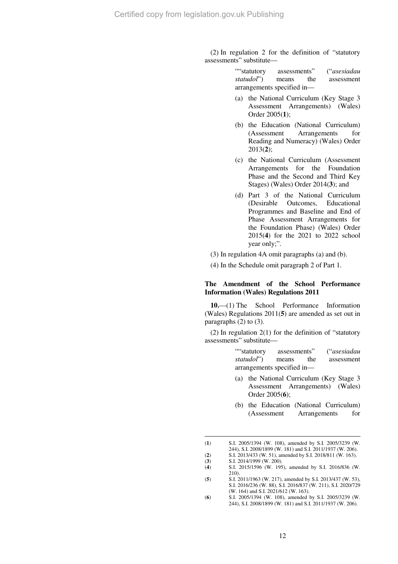(2) In regulation 2 for the definition of "statutory assessments" substitute—

> ""statutory assessments" ("*asesiadau statudol*") means the assessment arrangements specified in—

- (a) the National Curriculum (Key Stage 3 Assessment Arrangements) (Wales) Order 2005(**1**);
- (b) the Education (National Curriculum) (Assessment Arrangements for Reading and Numeracy) (Wales) Order 2013(**2**);
- (c) the National Curriculum (Assessment Arrangements for the Foundation Phase and the Second and Third Key Stages) (Wales) Order 2014(**3**); and
- (d) Part 3 of the National Curriculum (Desirable Outcomes, Educational Programmes and Baseline and End of Phase Assessment Arrangements for the Foundation Phase) (Wales) Order 2015(**4**) for the 2021 to 2022 school year only;".
- (3) In regulation 4A omit paragraphs (a) and (b).

(4) In the Schedule omit paragraph 2 of Part 1.

## **The Amendment of the School Performance Information (Wales) Regulations 2011**

**10.**—(1) The School Performance Information (Wales) Regulations 2011(**5**) are amended as set out in paragraphs (2) to (3).

(2) In regulation 2(1) for the definition of "statutory assessments" substitute—

> ""statutory assessments" ("*asesiadau statudol*") means the assessment arrangements specified in—

- (a) the National Curriculum (Key Stage 3 Assessment Arrangements) (Wales) Order 2005(**6**);
- (b) the Education (National Curriculum) (Assessment Arrangements for

<sup>(</sup>**1**) S.I. 2005/1394 (W. 108), amended by S.I. 2005/3239 (W. 244), S.I. 2008/1899 (W. 181) and S.I. 2011/1937 (W. 206). (**2**) S.I. 2013/433 (W. 51), amended by S.I. 2018/811 (W. 163).

 $(3)$  S.I. 2014/1999 (W. 200).

<sup>(</sup>**4**) S.I. 2015/1596 (W. 195), amended by S.I. 2016/836 (W. 210).

<sup>(</sup>**5**) S.I. 2011/1963 (W. 217), amended by S.I. 2013/437 (W. 53), S.I. 2016/236 (W. 88), S.I. 2016/837 (W. 211), S.I. 2020/729 (W. 164) and S.I. 2021/612 (W. 163).

<sup>(</sup>**6**) S.I. 2005/1394 (W. 108), amended by S.I. 2005/3239 (W. 244), S.I. 2008/1899 (W. 181) and S.I. 2011/1937 (W. 206).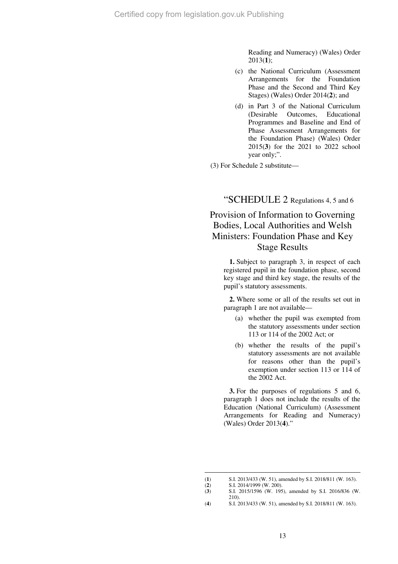Reading and Numeracy) (Wales) Order 2013(**1**);

- (c) the National Curriculum (Assessment Arrangements for the Foundation Phase and the Second and Third Key Stages) (Wales) Order 2014(**2**); and
- (d) in Part 3 of the National Curriculum (Desirable Outcomes, Educational Programmes and Baseline and End of Phase Assessment Arrangements for the Foundation Phase) (Wales) Order 2015(**3**) for the 2021 to 2022 school year only;".

(3) For Schedule 2 substitute—

"SCHEDULE 2 Regulations 4, 5 and 6

## Provision of Information to Governing Bodies, Local Authorities and Welsh Ministers: Foundation Phase and Key Stage Results

**1.** Subject to paragraph 3, in respect of each registered pupil in the foundation phase, second key stage and third key stage, the results of the pupil's statutory assessments.

**2.** Where some or all of the results set out in paragraph 1 are not available—

- (a) whether the pupil was exempted from the statutory assessments under section 113 or 114 of the 2002 Act; or
- (b) whether the results of the pupil's statutory assessments are not available for reasons other than the pupil's exemption under section 113 or 114 of the 2002 Act.

**3.** For the purposes of regulations 5 and 6, paragraph 1 does not include the results of the Education (National Curriculum) (Assessment Arrangements for Reading and Numeracy) (Wales) Order 2013(**4**)."

<sup>(</sup>**1**) S.I. 2013/433 (W. 51), amended by S.I. 2018/811 (W. 163).

<sup>(</sup>**2**) S.I. 2014/1999 (W. 200).<br>
(**3**) S.I. 2015/1596 (W. 195

<sup>(</sup>**3**) S.I. 2015/1596 (W. 195), amended by S.I. 2016/836 (W. 210).

<sup>(</sup>**4**) S.I. 2013/433 (W. 51), amended by S.I. 2018/811 (W. 163).